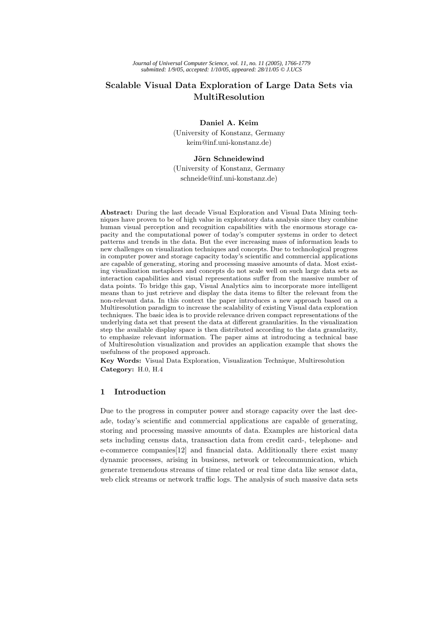# Scalable Visual Data Exploration of Large Data Sets via MultiResolution

### Daniel A. Keim

(University of Konstanz, Germany keim@inf.uni-konstanz.de)

# Jörn Schneidewind

(University of Konstanz, Germany schneide@inf.uni-konstanz.de)

Abstract: During the last decade Visual Exploration and Visual Data Mining techniques have proven to be of high value in exploratory data analysis since they combine human visual perception and recognition capabilities with the enormous storage capacity and the computational power of today's computer systems in order to detect patterns and trends in the data. But the ever increasing mass of information leads to new challenges on visualization techniques and concepts. Due to technological progress in computer power and storage capacity today's scientific and commercial applications are capable of generating, storing and processing massive amounts of data. Most existing visualization metaphors and concepts do not scale well on such large data sets as interaction capabilities and visual representations suffer from the massive number of data points. To bridge this gap, Visual Analytics aim to incorporate more intelligent means than to just retrieve and display the data items to filter the relevant from the non-relevant data. In this context the paper introduces a new approach based on a Multiresolution paradigm to increase the scalability of existing Visual data exploration techniques. The basic idea is to provide relevance driven compact representations of the underlying data set that present the data at different granularities. In the visualization step the available display space is then distributed according to the data granularity, to emphasize relevant information. The paper aims at introducing a technical base of Multiresolution visualization and provides an application example that shows the usefulness of the proposed approach.

Key Words: Visual Data Exploration, Visualization Technique, Multiresolution Category: H.0, H.4

### 1 Introduction

Due to the progress in computer power and storage capacity over the last decade, today's scientific and commercial applications are capable of generating, storing and processing massive amounts of data. Examples are historical data sets including census data, transaction data from credit card-, telephone- and e-commerce companies[12] and financial data. Additionally there exist many dynamic processes, arising in business, network or telecommunication, which generate tremendous streams of time related or real time data like sensor data, web click streams or network traffic logs. The analysis of such massive data sets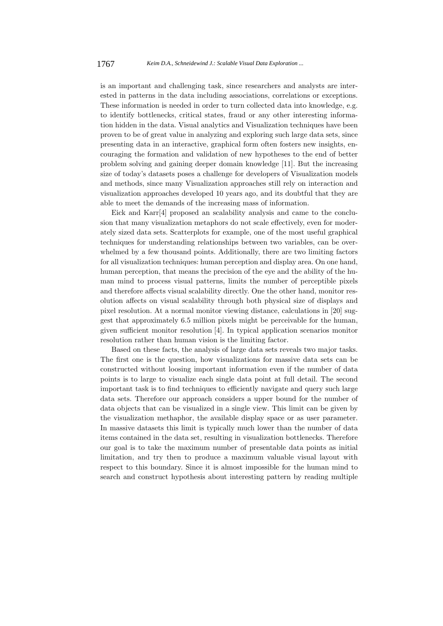is an important and challenging task, since researchers and analysts are interested in patterns in the data including associations, correlations or exceptions. These information is needed in order to turn collected data into knowledge, e.g. to identify bottlenecks, critical states, fraud or any other interesting information hidden in the data. Visual analytics and Visualization techniques have been proven to be of great value in analyzing and exploring such large data sets, since presenting data in an interactive, graphical form often fosters new insights, encouraging the formation and validation of new hypotheses to the end of better problem solving and gaining deeper domain knowledge [11]. But the increasing size of today's datasets poses a challenge for developers of Visualization models and methods, since many Visualization approaches still rely on interaction and visualization approaches developed 10 years ago, and its doubtful that they are able to meet the demands of the increasing mass of information.

Eick and Karr[4] proposed an scalability analysis and came to the conclusion that many visualization metaphors do not scale effectively, even for moderately sized data sets. Scatterplots for example, one of the most useful graphical techniques for understanding relationships between two variables, can be overwhelmed by a few thousand points. Additionally, there are two limiting factors for all visualization techniques: human perception and display area. On one hand, human perception, that means the precision of the eye and the ability of the human mind to process visual patterns, limits the number of perceptible pixels and therefore affects visual scalability directly. One the other hand, monitor resolution affects on visual scalability through both physical size of displays and pixel resolution. At a normal monitor viewing distance, calculations in [20] suggest that approximately 6.5 million pixels might be perceivable for the human, given sufficient monitor resolution [4]. In typical application scenarios monitor resolution rather than human vision is the limiting factor.

Based on these facts, the analysis of large data sets reveals two major tasks. The first one is the question, how visualizations for massive data sets can be constructed without loosing important information even if the number of data points is to large to visualize each single data point at full detail. The second important task is to find techniques to efficiently navigate and query such large data sets. Therefore our approach considers a upper bound for the number of data objects that can be visualized in a single view. This limit can be given by the visualization methaphor, the available display space or as user parameter. In massive datasets this limit is typically much lower than the number of data items contained in the data set, resulting in visualization bottlenecks. Therefore our goal is to take the maximum number of presentable data points as initial limitation, and try then to produce a maximum valuable visual layout with respect to this boundary. Since it is almost impossible for the human mind to search and construct hypothesis about interesting pattern by reading multiple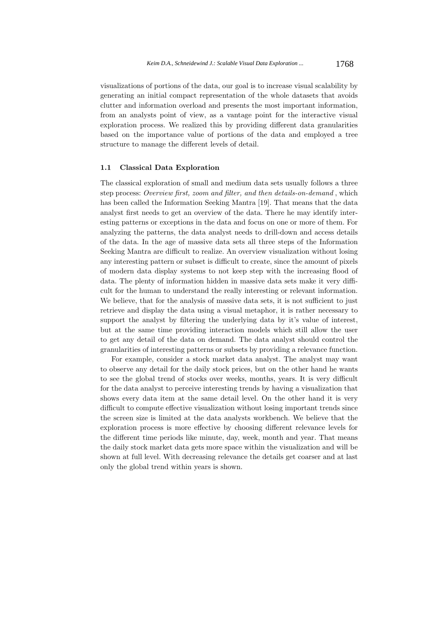visualizations of portions of the data, our goal is to increase visual scalability by generating an initial compact representation of the whole datasets that avoids clutter and information overload and presents the most important information, from an analysts point of view, as a vantage point for the interactive visual exploration process. We realized this by providing different data granularities based on the importance value of portions of the data and employed a tree structure to manage the different levels of detail.

# 1.1 Classical Data Exploration

The classical exploration of small and medium data sets usually follows a three step process: Overview first, zoom and filter, and then details-on-demand , which has been called the Information Seeking Mantra [19]. That means that the data analyst first needs to get an overview of the data. There he may identify interesting patterns or exceptions in the data and focus on one or more of them. For analyzing the patterns, the data analyst needs to drill-down and access details of the data. In the age of massive data sets all three steps of the Information Seeking Mantra are difficult to realize. An overview visualization without losing any interesting pattern or subset is difficult to create, since the amount of pixels of modern data display systems to not keep step with the increasing flood of data. The plenty of information hidden in massive data sets make it very difficult for the human to understand the really interesting or relevant information. We believe, that for the analysis of massive data sets, it is not sufficient to just retrieve and display the data using a visual metaphor, it is rather necessary to support the analyst by filtering the underlying data by it's value of interest, but at the same time providing interaction models which still allow the user to get any detail of the data on demand. The data analyst should control the granularities of interesting patterns or subsets by providing a relevance function.

For example, consider a stock market data analyst. The analyst may want to observe any detail for the daily stock prices, but on the other hand he wants to see the global trend of stocks over weeks, months, years. It is very difficult for the data analyst to perceive interesting trends by having a visualization that shows every data item at the same detail level. On the other hand it is very difficult to compute effective visualization without losing important trends since the screen size is limited at the data analysts workbench. We believe that the exploration process is more effective by choosing different relevance levels for the different time periods like minute, day, week, month and year. That means the daily stock market data gets more space within the visualization and will be shown at full level. With decreasing relevance the details get coarser and at last only the global trend within years is shown.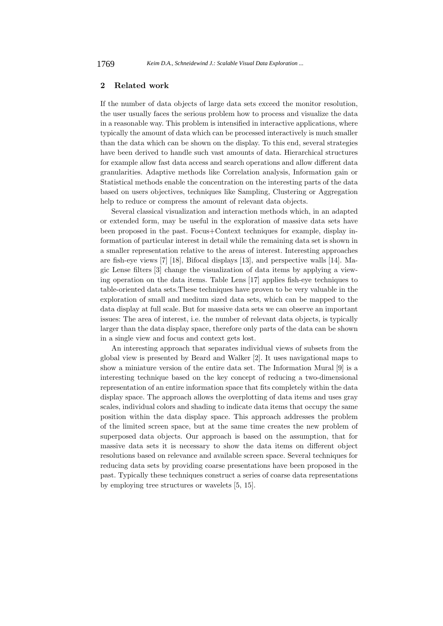# 2 Related work

If the number of data objects of large data sets exceed the monitor resolution, the user usually faces the serious problem how to process and visualize the data in a reasonable way. This problem is intensified in interactive applications, where typically the amount of data which can be processed interactively is much smaller than the data which can be shown on the display. To this end, several strategies have been derived to handle such vast amounts of data. Hierarchical structures for example allow fast data access and search operations and allow different data granularities. Adaptive methods like Correlation analysis, Information gain or Statistical methods enable the concentration on the interesting parts of the data based on users objectives, techniques like Sampling, Clustering or Aggregation help to reduce or compress the amount of relevant data objects.

Several classical visualization and interaction methods which, in an adapted or extended form, may be useful in the exploration of massive data sets have been proposed in the past. Focus+Context techniques for example, display information of particular interest in detail while the remaining data set is shown in a smaller representation relative to the areas of interest. Interesting approaches are fish-eye views [7] [18], Bifocal displays [13], and perspective walls [14]. Magic Lense filters [3] change the visualization of data items by applying a viewing operation on the data items. Table Lens [17] applies fish-eye techniques to table-oriented data sets.These techniques have proven to be very valuable in the exploration of small and medium sized data sets, which can be mapped to the data display at full scale. But for massive data sets we can observe an important issues: The area of interest, i.e. the number of relevant data objects, is typically larger than the data display space, therefore only parts of the data can be shown in a single view and focus and context gets lost.

An interesting approach that separates individual views of subsets from the global view is presented by Beard and Walker [2]. It uses navigational maps to show a miniature version of the entire data set. The Information Mural [9] is a interesting technique based on the key concept of reducing a two-dimensional representation of an entire information space that fits completely within the data display space. The approach allows the overplotting of data items and uses gray scales, individual colors and shading to indicate data items that occupy the same position within the data display space. This approach addresses the problem of the limited screen space, but at the same time creates the new problem of superposed data objects. Our approach is based on the assumption, that for massive data sets it is necessary to show the data items on different object resolutions based on relevance and available screen space. Several techniques for reducing data sets by providing coarse presentations have been proposed in the past. Typically these techniques construct a series of coarse data representations by employing tree structures or wavelets [5, 15].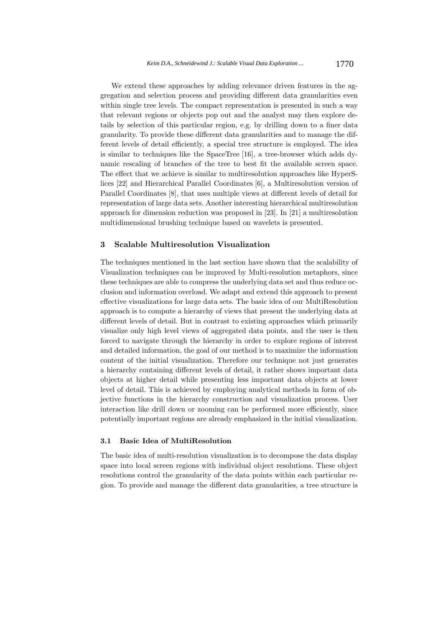We extend these approaches by adding relevance driven features in the aggregation and selection process and providing different data granularities even within single tree levels. The compact representation is presented in such a way that relevant regions or objects pop out and the analyst may then explore details by selection of this particular region, e.g. by drilling down to a finer data granularity. To provide these different data granularities and to manage the different levels of detail efficiently, a special tree structure is employed. The idea is similar to techniques like the SpaceTree [16], a tree-browser which adds dynamic rescaling of branches of the tree to best fit the available screen space. The effect that we achieve is similar to multiresolution approaches like HyperSlices [22] and Hierarchical Parallel Coordinates [6], a Multiresolution version of Parallel Coordinates [8], that uses multiple views at different levels of detail for representation of large data sets. Another interesting hierarchical multiresolution approach for dimension reduction was proposed in [23]. In [21] a multiresolution multidimensional brushing technique based on wavelets is presented.

### 3 Scalable Multiresolution Visualization

The techniques mentioned in the last section have shown that the scalability of Visualization techniques can be improved by Multi-resolution metaphors, since these techniques are able to compress the underlying data set and thus reduce occlusion and information overload. We adapt and extend this approach to present effective visualizations for large data sets. The basic idea of our MultiResolution approach is to compute a hierarchy of views that present the underlying data at different levels of detail. But in contrast to existing approaches which primarily visualize only high level views of aggregated data points, and the user is then forced to navigate through the hierarchy in order to explore regions of interest and detailed information, the goal of our method is to maximize the information content of the initial visualization. Therefore our technique not just generates a hierarchy containing different levels of detail, it rather shows important data objects at higher detail while presenting less important data objects at lower level of detail. This is achieved by employing analytical methods in form of objective functions in the hierarchy construction and visualization process. User interaction like drill down or zooming can be performed more efficiently, since potentially important regions are already emphasized in the initial visualization.

### 3.1 Basic Idea of MultiResolution

The basic idea of multi-resolution visualization is to decompose the data display space into local screen regions with individual object resolutions. These object resolutions control the granularity of the data points within each particular region. To provide and manage the different data granularities, a tree structure is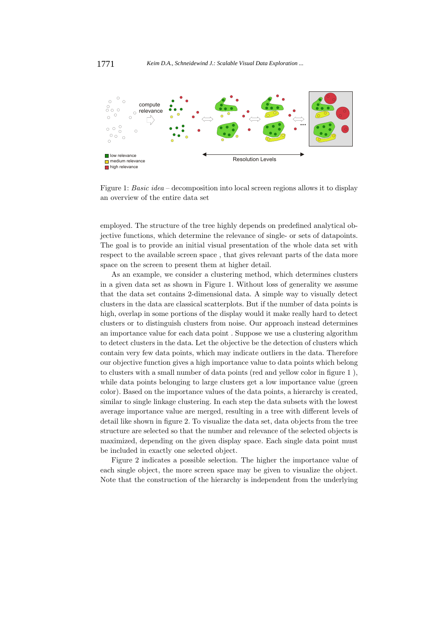

Figure 1: Basic idea – decomposition into local screen regions allows it to display an overview of the entire data set

employed. The structure of the tree highly depends on predefined analytical objective functions, which determine the relevance of single- or sets of datapoints. The goal is to provide an initial visual presentation of the whole data set with respect to the available screen space , that gives relevant parts of the data more space on the screen to present them at higher detail.

As an example, we consider a clustering method, which determines clusters in a given data set as shown in Figure 1. Without loss of generality we assume that the data set contains 2-dimensional data. A simple way to visually detect clusters in the data are classical scatterplots. But if the number of data points is high, overlap in some portions of the display would it make really hard to detect clusters or to distinguish clusters from noise. Our approach instead determines an importance value for each data point . Suppose we use a clustering algorithm to detect clusters in the data. Let the objective be the detection of clusters which contain very few data points, which may indicate outliers in the data. Therefore our objective function gives a high importance value to data points which belong to clusters with a small number of data points (red and yellow color in figure 1 ), while data points belonging to large clusters get a low importance value (green color). Based on the importance values of the data points, a hierarchy is created, similar to single linkage clustering. In each step the data subsets with the lowest average importance value are merged, resulting in a tree with different levels of detail like shown in figure 2. To visualize the data set, data objects from the tree structure are selected so that the number and relevance of the selected objects is maximized, depending on the given display space. Each single data point must be included in exactly one selected object.

Figure 2 indicates a possible selection. The higher the importance value of each single object, the more screen space may be given to visualize the object. Note that the construction of the hierarchy is independent from the underlying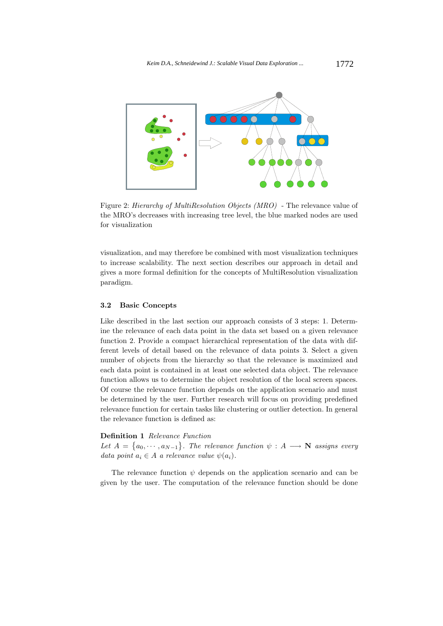

Figure 2: Hierarchy of MultiResolution Objects (MRO) - The relevance value of the MRO's decreases with increasing tree level, the blue marked nodes are used for visualization

visualization, and may therefore be combined with most visualization techniques to increase scalability. The next section describes our approach in detail and gives a more formal definition for the concepts of MultiResolution visualization paradigm.

### 3.2 Basic Concepts

Like described in the last section our approach consists of 3 steps: 1. Determine the relevance of each data point in the data set based on a given relevance function 2. Provide a compact hierarchical representation of the data with different levels of detail based on the relevance of data points 3. Select a given number of objects from the hierarchy so that the relevance is maximized and each data point is contained in at least one selected data object. The relevance function allows us to determine the object resolution of the local screen spaces. Of course the relevance function depends on the application scenario and must be determined by the user. Further research will focus on providing predefined relevance function for certain tasks like clustering or outlier detection. In general the relevance function is defined as:

# Definition 1 Relevance Function

Let  $A = \{a_0, \dots, a_{N-1}\}.$  The relevance function  $\psi : A \longrightarrow \mathbb{N}$  assigns every data point  $a_i \in A$  a relevance value  $\psi(a_i)$ .

The relevance function  $\psi$  depends on the application scenario and can be given by the user. The computation of the relevance function should be done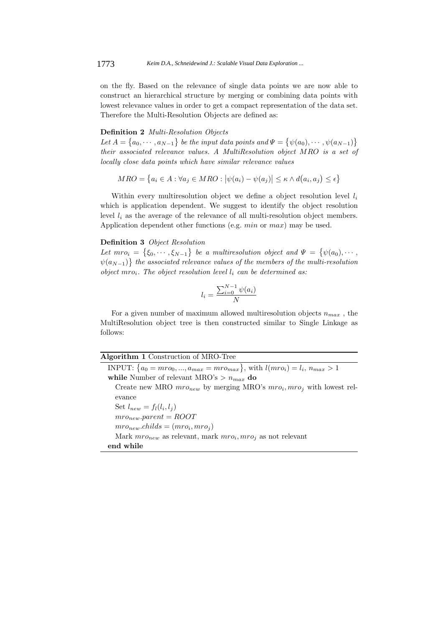on the fly. Based on the relevance of single data points we are now able to construct an hierarchical structure by merging or combining data points with lowest relevance values in order to get a compact representation of the data set. Therefore the Multi-Resolution Objects are defined as:

# Definition 2 *Multi-Resolution Objects*

Let  $A = \{a_0, \dots, a_{N-1}\}\$  be the input data points and  $\Psi =$ ©  $\psi(a_0), \cdots, \psi(a_{N-1})$ ª their associated relevance values. A MultiResolution object MRO is a set of locally close data points which have similar relevance values

$$
MRO = \{a_i \in A : \forall a_j \in MRO : |\psi(a_i) - \psi(a_j)| \le \kappa \land d(a_i, a_j) \le \epsilon\}
$$

Within every multiresolution object we define a object resolution level  $l_i$ which is application dependent. We suggest to identify the object resolution level  $l_i$  as the average of the relevance of all multi-resolution object members. Application dependent other functions (e.g. min or max) may be used.

#### Definition 3 Object Resolution © ª

Let  $mro_i =$  $\xi_0, \cdots, \xi_{N-1}$ be a multiresolution object and  $\Psi =$ ©  $\mathcal{L}_i = \{\xi_0, \cdots, \xi_{N-1}\}\;$  be a multiresolution object and  $\Psi = \{\psi(a_0), \cdots, \psi(n)\}\;$  $\psi(a_{N-1})\}$  the associated relevance values of the members of the multi-resolution object mro<sub>i</sub>. The object resolution level  $l_i$  can be determined as:

$$
l_i = \frac{\sum_{i=0}^{N-1} \psi(a_i)}{N}
$$

For a given number of maximum allowed multiresolution objects  $n_{max}$ , the MultiResolution object tree is then constructed similar to Single Linkage as follows:

|  |  | Algorithm 1 Construction of MRO-Tree |  |  |
|--|--|--------------------------------------|--|--|
|--|--|--------------------------------------|--|--|

**INPUT:**  $\{a_0 = mro_0, ..., a_{max} = mro_{max}\},\$  with  $l(mro_i) = l_i, n_{max} > 1$ while Number of relevant MRO's  $> n_{max}$  do

Create new MRO  $mro_{new}$  by merging MRO's  $mro_i, mro_j$  with lowest relevance

Set  $l_{new} = f_l(l_i, l_j)$  $mro_{new}.parent = ROOT$  $mro_{new}.childs = (mro_i, mro_j)$ Mark  $mro_{new}$  as relevant, mark  $mro_i, mro_j$  as not relevant end while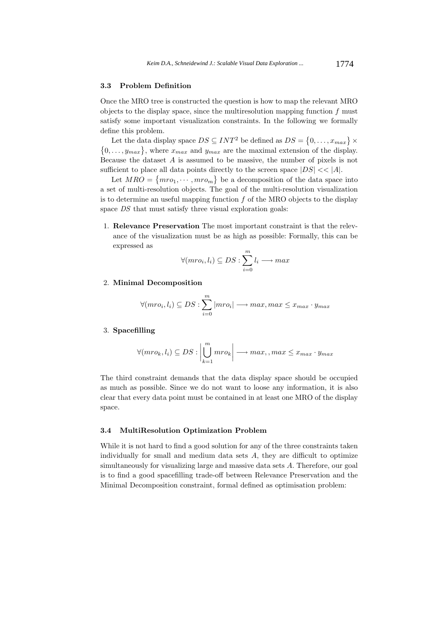### 3.3 Problem Definition

Once the MRO tree is constructed the question is how to map the relevant MRO objects to the display space, since the multiresolution mapping function  $f$  must satisfy some important visualization constraints. In the following we formally define this problem.

Let the data display space  $DS \subseteq INT^2$  be defined as  $DS = \{0, \ldots, x_{max}\}$   $\times$ Let the data display space  $DS \subseteq INT$  be defined as  $DS = \{0, \ldots, \ell_{max}\}$ ,<br> $\{0, \ldots, y_{max}\}$ , where  $x_{max}$  and  $y_{max}$  are the maximal extension of the display. Because the dataset  $A$  is assumed to be massive, the number of pixels is not sufficient to place all data points directly to the screen space  $|DS| \ll |A|$ .

Let  $MRO = \{mro_1, \dots, mro_m\}$  be a decomposition of the data space into a set of multi-resolution objects. The goal of the multi-resolution visualization is to determine an useful mapping function  $f$  of the MRO objects to the display space DS that must satisfy three visual exploration goals:

1. Relevance Preservation The most important constraint is that the relevance of the visualization must be as high as possible: Formally, this can be expressed as

$$
\forall (mro_i, l_i) \subseteq DS : \sum_{i=0}^{m} l_i \longrightarrow max
$$

#### 2. Minimal Decomposition

$$
\forall (mro_i, l_i) \subseteq DS : \sum_{i=0}^{m} |mro_i| \longrightarrow max, max \le x_{max} \cdot y_{max}
$$

### 3. Spacefilling

$$
\forall (mro_k, l_i) \subseteq DS : \left| \bigcup_{k=1}^{m} mro_k \right| \longrightarrow max, , max \leq x_{max} \cdot y_{max}
$$

The third constraint demands that the data display space should be occupied as much as possible. Since we do not want to loose any information, it is also clear that every data point must be contained in at least one MRO of the display space.

### 3.4 MultiResolution Optimization Problem

While it is not hard to find a good solution for any of the three constraints taken individually for small and medium data sets A, they are difficult to optimize simultaneously for visualizing large and massive data sets A. Therefore, our goal is to find a good spacefilling trade-off between Relevance Preservation and the Minimal Decomposition constraint, formal defined as optimisation problem: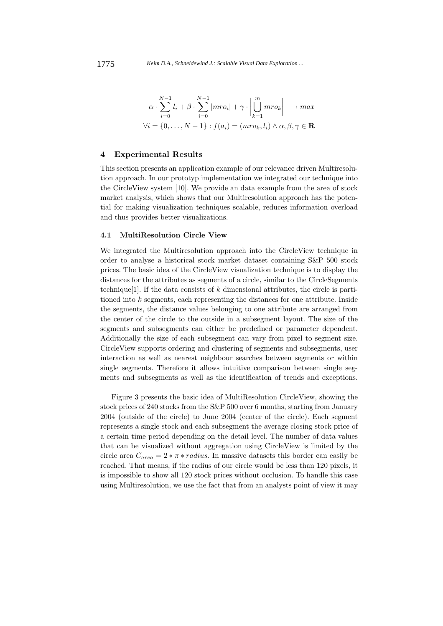$$
\alpha \cdot \sum_{i=0}^{N-1} l_i + \beta \cdot \sum_{i=0}^{N-1} |mro_i| + \gamma \cdot \left| \bigcup_{k=1}^{m} mro_k \right| \longrightarrow \max
$$
  

$$
\forall i = \{0, \dots, N-1\} : f(a_i) = (mro_k, l_i) \land \alpha, \beta, \gamma \in \mathbf{R}
$$

# 4 Experimental Results

This section presents an application example of our relevance driven Multiresolution approach. In our prototyp implementation we integrated our technique into the CircleView system [10]. We provide an data example from the area of stock market analysis, which shows that our Multiresolution approach has the potential for making visualization techniques scalable, reduces information overload and thus provides better visualizations.

### 4.1 MultiResolution Circle View

We integrated the Multiresolution approach into the CircleView technique in order to analyse a historical stock market dataset containing S&P 500 stock prices. The basic idea of the CircleView visualization technique is to display the distances for the attributes as segments of a circle, similar to the CircleSegments technique<sup>[1]</sup>. If the data consists of k dimensional attributes, the circle is partitioned into  $k$  segments, each representing the distances for one attribute. Inside the segments, the distance values belonging to one attribute are arranged from the center of the circle to the outside in a subsegment layout. The size of the segments and subsegments can either be predefined or parameter dependent. Additionally the size of each subsegment can vary from pixel to segment size. CircleView supports ordering and clustering of segments and subsegments, user interaction as well as nearest neighbour searches between segments or within single segments. Therefore it allows intuitive comparison between single segments and subsegments as well as the identification of trends and exceptions.

Figure 3 presents the basic idea of MultiResolution CircleView, showing the stock prices of 240 stocks from the S&P 500 over 6 months, starting from January 2004 (outside of the circle) to June 2004 (center of the circle). Each segment represents a single stock and each subsegment the average closing stock price of a certain time period depending on the detail level. The number of data values that can be visualized without aggregation using CircleView is limited by the circle area  $C_{area} = 2 * \pi * radius$ . In massive datasets this border can easily be reached. That means, if the radius of our circle would be less than 120 pixels, it is impossible to show all 120 stock prices without occlusion. To handle this case using Multiresolution, we use the fact that from an analysts point of view it may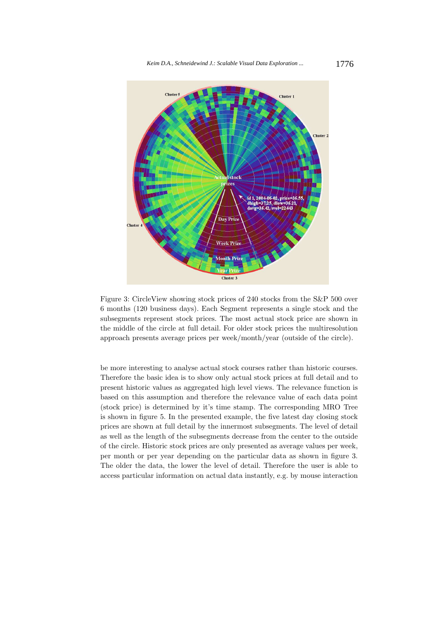

Figure 3: CircleView showing stock prices of 240 stocks from the S&P 500 over 6 months (120 business days). Each Segment represents a single stock and the subsegments represent stock prices. The most actual stock price are shown in the middle of the circle at full detail. For older stock prices the multiresolution approach presents average prices per week/month/year (outside of the circle).

be more interesting to analyse actual stock courses rather than historic courses. Therefore the basic idea is to show only actual stock prices at full detail and to present historic values as aggregated high level views. The relevance function is based on this assumption and therefore the relevance value of each data point (stock price) is determined by it's time stamp. The corresponding MRO Tree is shown in figure 5. In the presented example, the five latest day closing stock prices are shown at full detail by the innermost subsegments. The level of detail as well as the length of the subsegments decrease from the center to the outside of the circle. Historic stock prices are only presented as average values per week, per month or per year depending on the particular data as shown in figure 3. The older the data, the lower the level of detail. Therefore the user is able to access particular information on actual data instantly, e.g. by mouse interaction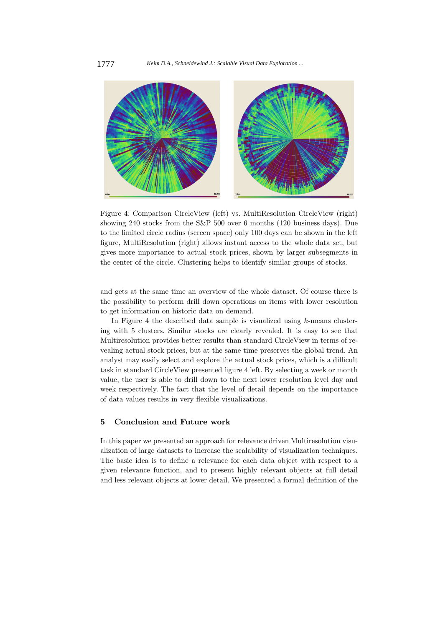

Figure 4: Comparison CircleView (left) vs. MultiResolution CircleView (right) showing 240 stocks from the S&P 500 over 6 months (120 business days). Due to the limited circle radius (screen space) only 100 days can be shown in the left figure, MultiResolution (right) allows instant access to the whole data set, but gives more importance to actual stock prices, shown by larger subsegments in the center of the circle. Clustering helps to identify similar groups of stocks.

and gets at the same time an overview of the whole dataset. Of course there is the possibility to perform drill down operations on items with lower resolution to get information on historic data on demand.

In Figure 4 the described data sample is visualized using  $k$ -means clustering with 5 clusters. Similar stocks are clearly revealed. It is easy to see that Multiresolution provides better results than standard CircleView in terms of revealing actual stock prices, but at the same time preserves the global trend. An analyst may easily select and explore the actual stock prices, which is a difficult task in standard CircleView presented figure 4 left. By selecting a week or month value, the user is able to drill down to the next lower resolution level day and week respectively. The fact that the level of detail depends on the importance of data values results in very flexible visualizations.

### 5 Conclusion and Future work

In this paper we presented an approach for relevance driven Multiresolution visualization of large datasets to increase the scalability of visualization techniques. The basic idea is to define a relevance for each data object with respect to a given relevance function, and to present highly relevant objects at full detail and less relevant objects at lower detail. We presented a formal definition of the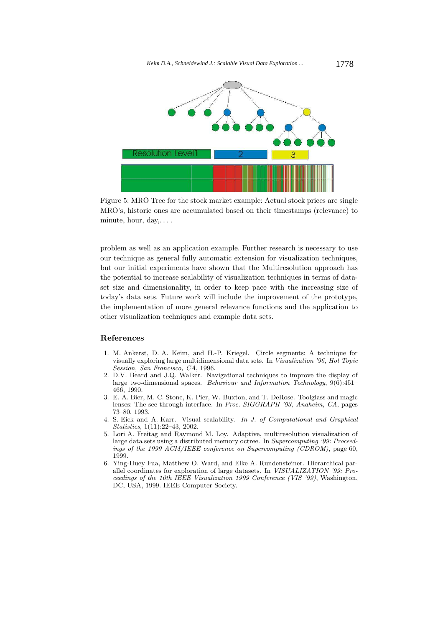

Figure 5: MRO Tree for the stock market example: Actual stock prices are single MRO's, historic ones are accumulated based on their timestamps (relevance) to minute, hour, day,. . . .

problem as well as an application example. Further research is necessary to use our technique as general fully automatic extension for visualization techniques, but our initial experiments have shown that the Multiresolution approach has the potential to increase scalability of visualization techniques in terms of dataset size and dimensionality, in order to keep pace with the increasing size of today's data sets. Future work will include the improvement of the prototype, the implementation of more general relevance functions and the application to other visualization techniques and example data sets.

# References

- 1. M. Ankerst, D. A. Keim, and H.-P. Kriegel. Circle segments: A technique for visually exploring large multidimensional data sets. In Visualization '96, Hot Topic Session, San Francisco, CA, 1996.
- 2. D.V. Beard and J.Q. Walker. Navigational techniques to improve the display of large two-dimensional spaces. Behaviour and Information Technology,  $9(6)$ :451– 466, 1990.
- 3. E. A. Bier, M. C. Stone, K. Pier, W. Buxton, and T. DeRose. Toolglass and magic lenses: The see-through interface. In Proc. SIGGRAPH '93, Anaheim, CA, pages 73–80, 1993.
- 4. S. Eick and A. Karr. Visual scalability. In J. of Computational and Graphical Statistics, 1(11):22–43, 2002.
- 5. Lori A. Freitag and Raymond M. Loy. Adaptive, multiresolution visualization of large data sets using a distributed memory octree. In Supercomputing '99: Proceedings of the 1999 ACM/IEEE conference on Supercomputing (CDROM), page 60, 1999.
- 6. Ying-Huey Fua, Matthew O. Ward, and Elke A. Rundensteiner. Hierarchical parallel coordinates for exploration of large datasets. In VISUALIZATION '99: Proceedings of the 10th IEEE Visualization 1999 Conference (VIS '99), Washington, DC, USA, 1999. IEEE Computer Society.